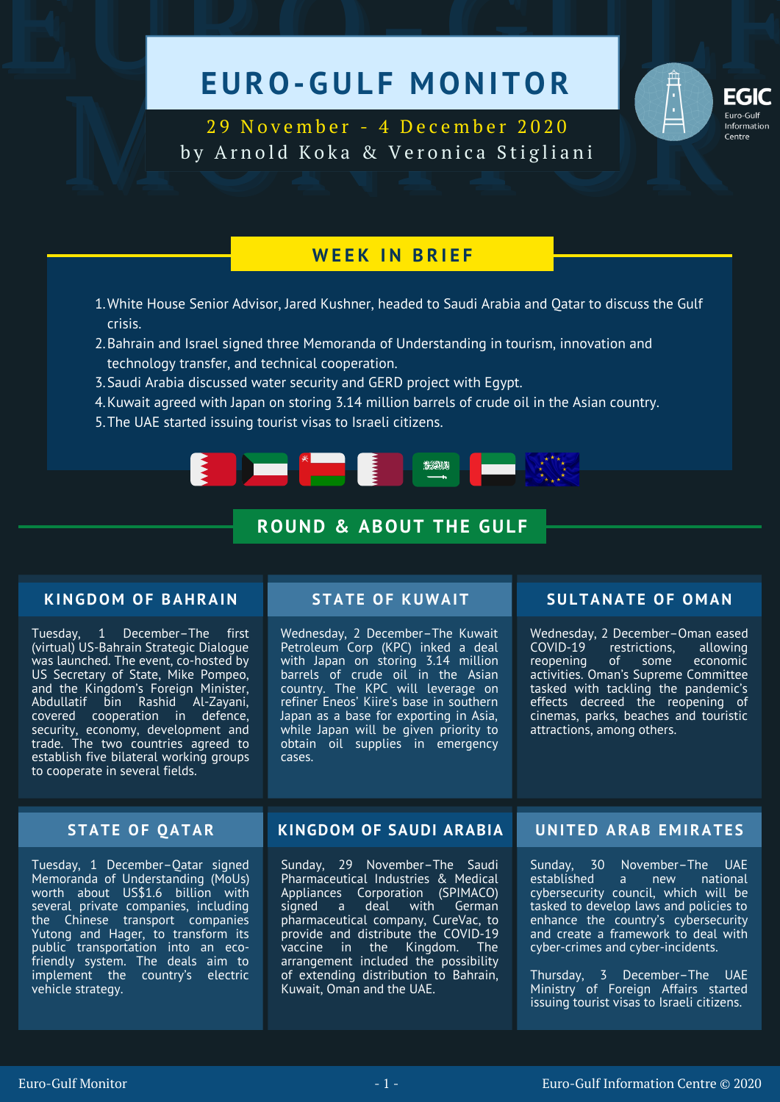# EURO-GULF MONITOR EXAMPLE ON THE MONITOR TESTING

EGIC<br>
29 November - 4 December 2020<br>
by Arnold Koka & Veronica Stigliani 29 November - 4 December 2020 by Arnold Koka & Veronica Stigliani

# **W E E K I N B R I E F**

- White House Senior Advisor, Jared Kushner, headed to Saudi Arabia and Qatar to discuss the Gulf 1. crisis.
- 2.Bahrain and Israel signed three Memoranda of Understanding in tourism, innovation and technology transfer, and technical cooperation.
- 3. Saudi Arabia discussed water security and GERD project with Egypt.
- Kuwait agreed with Japan on storing 3.14 million barrels of crude oil in the Asian country. 4.
- 5. The UAE started issuing tourist visas to Israeli citizens.



## **ROUND & ABOUT THE GULF**

## **KINGDOM OF BAHRAIN**

Tuesday, 1 December–The first (virtual) US-Bahrain Strategic Dialogue was launched. The event, co-hosted by US Secretary of State, Mike Pompeo, and the Kingdom's Foreign Minister, Abdullatif bin Rashid Al-Zayani, covered cooperation in defence, security, economy, development and trade. The two countries agreed to establish five bilateral working groups to cooperate in several fields.

Wednesday, 2 December–The Kuwait Petroleum Corp (KPC) inked a deal with Japan on storing 3.14 million barrels of crude oil in the Asian country. The KPC will leverage on refiner Eneos' Kiire's base in southern Japan as a base for exporting in Asia, while Japan will be given priority to obtain oil supplies in emergency cases.

## **STATE OF KUWAIT SULTANATE OF O M AN**

Wednesday, 2 December–Oman eased<br>COVID-19 restrictions, allowing COVID-19 restrictions, allowing of some activities. Oman's Supreme Committee tasked with tackling the pandemic's effects decreed the reopening of cinemas, parks, beaches and touristic attractions, among others.

Tuesday, 1 December–Qatar signed Memoranda of Understanding (MoUs) worth about US\$1.6 billion with several private companies, including the Chinese transport companies Yutong and Hager, to transform its public transportation into an ecofriendly system. The deals aim to implement the country's electric vehicle strategy.

### **STATE OF QATAR KINGDOM OF SAUDI ARABIA UNITED ARAB E M IRATE S**

Sunday, 29 November–The Saudi Pharmaceutical Industries & Medical Appliances Corporation (SPIMACO)<br>signed a deal with German deal with pharmaceutical company, CureVac, to provide and distribute the COVID-19<br>vaccine in the Kingdom. The vaccine in the Kingdom. The arrangement included the possibility of extending distribution to Bahrain, Kuwait, Oman and the UAE.

Sunday, 30 November–The UAE established a new national cybersecurity council, which will be tasked to develop laws and policies to enhance the country's cybersecurity and create a framework to deal with cyber-crimes and cyber-incidents.

Thursday, 3 December–The UAE Ministry of Foreign Affairs started issuing tourist visas to Israeli citizens.